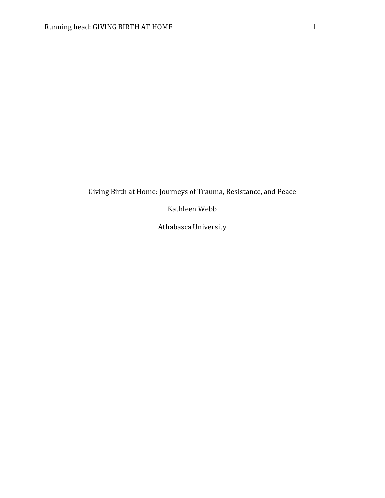# Giving Birth at Home: Journeys of Trauma, Resistance, and Peace

Kathleen Webb

Athabasca University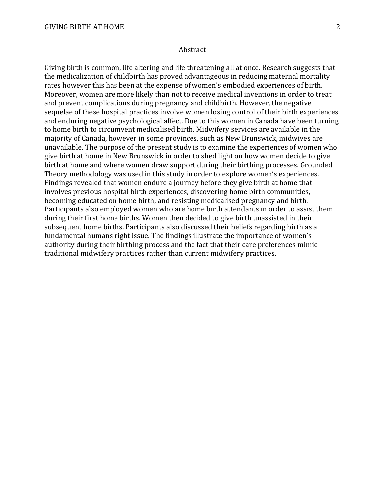#### Abstract

Giving birth is common, life altering and life threatening all at once. Research suggests that the medicalization of childbirth has proved advantageous in reducing maternal mortality rates however this has been at the expense of women's embodied experiences of birth. Moreover, women are more likely than not to receive medical inventions in order to treat and prevent complications during pregnancy and childbirth. However, the negative sequelae of these hospital practices involve women losing control of their birth experiences and enduring negative psychological affect. Due to this women in Canada have been turning to home birth to circumvent medicalised birth. Midwifery services are available in the majority of Canada, however in some provinces, such as New Brunswick, midwives are unavailable. The purpose of the present study is to examine the experiences of women who give birth at home in New Brunswick in order to shed light on how women decide to give birth at home and where women draw support during their birthing processes. Grounded Theory methodology was used in this study in order to explore women's experiences. Findings revealed that women endure a journey before they give birth at home that involves previous hospital birth experiences, discovering home birth communities, becoming educated on home birth, and resisting medicalised pregnancy and birth. Participants also employed women who are home birth attendants in order to assist them during their first home births. Women then decided to give birth unassisted in their subsequent home births. Participants also discussed their beliefs regarding birth as a fundamental humans right issue. The findings illustrate the importance of women's authority during their birthing process and the fact that their care preferences mimic traditional midwifery practices rather than current midwifery practices.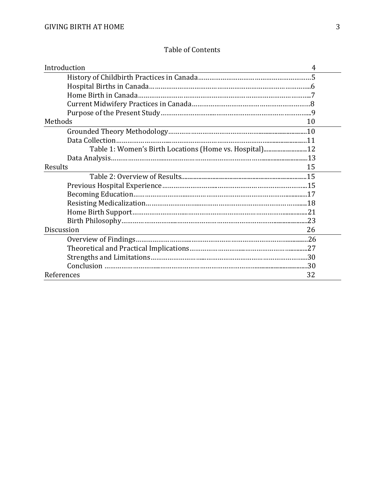# Table of Contents

| Introduction<br>4                                      |  |
|--------------------------------------------------------|--|
|                                                        |  |
|                                                        |  |
|                                                        |  |
|                                                        |  |
|                                                        |  |
| Methods<br>10                                          |  |
|                                                        |  |
|                                                        |  |
| Table 1: Women's Birth Locations (Home vs. Hospital)12 |  |
|                                                        |  |
| Results<br>15                                          |  |
|                                                        |  |
|                                                        |  |
|                                                        |  |
|                                                        |  |
|                                                        |  |
|                                                        |  |
| Discussion<br>26                                       |  |
|                                                        |  |
|                                                        |  |
|                                                        |  |
|                                                        |  |
| References<br>32                                       |  |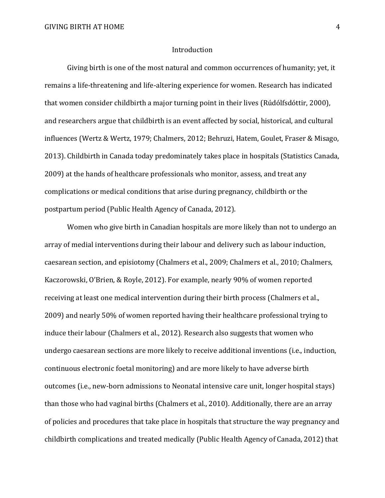## Introduction

Giving birth is one of the most natural and common occurrences of humanity; yet, it remains a life-threatening and life-altering experience for women. Research has indicated that women consider childbirth a major turning point in their lives (Rúdólfsdóttir, 2000), and researchers argue that childbirth is an event affected by social, historical, and cultural influences (Wertz & Wertz, 1979; Chalmers, 2012; Behruzi, Hatem, Goulet, Fraser & Misago, 2013). Childbirth in Canada today predominately takes place in hospitals (Statistics Canada, 2009) at the hands of healthcare professionals who monitor, assess, and treat any complications or medical conditions that arise during pregnancy, childbirth or the postpartum period (Public Health Agency of Canada, 2012).

Women who give birth in Canadian hospitals are more likely than not to undergo an array of medial interventions during their labour and delivery such as labour induction, caesarean section, and episiotomy (Chalmers et al., 2009; Chalmers et al., 2010; Chalmers, Kaczorowski, O'Brien, & Royle, 2012). For example, nearly 90% of women reported receiving at least one medical intervention during their birth process (Chalmers et al., 2009) and nearly 50% of women reported having their healthcare professional trying to induce their labour (Chalmers et al., 2012). Research also suggests that women who undergo caesarean sections are more likely to receive additional inventions (i.e., induction, continuous electronic foetal monitoring) and are more likely to have adverse birth outcomes (i.e., new-born admissions to Neonatal intensive care unit, longer hospital stays) than those who had vaginal births (Chalmers et al., 2010). Additionally, there are an array of policies and procedures that take place in hospitals that structure the way pregnancy and childbirth complications and treated medically (Public Health Agency of Canada, 2012) that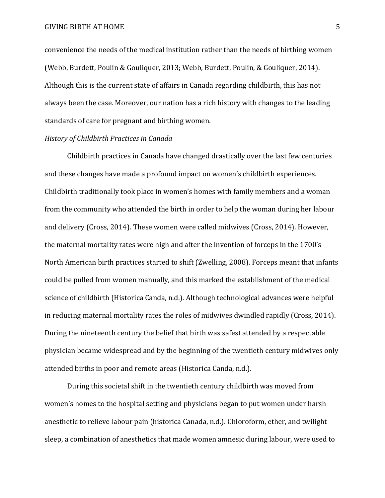convenience the needs of the medical institution rather than the needs of birthing women (Webb, Burdett, Poulin & Gouliquer, 2013; Webb, Burdett, Poulin, & Gouliquer, 2014). Although this is the current state of affairs in Canada regarding childbirth, this has not always been the case. Moreover, our nation has a rich history with changes to the leading standards of care for pregnant and birthing women.

## *History of Childbirth Practices in Canada*

Childbirth practices in Canada have changed drastically over the last few centuries and these changes have made a profound impact on women's childbirth experiences. Childbirth traditionally took place in women's homes with family members and a woman from the community who attended the birth in order to help the woman during her labour and delivery (Cross, 2014). These women were called midwives (Cross, 2014). However, the maternal mortality rates were high and after the invention of forceps in the 1700's North American birth practices started to shift (Zwelling, 2008). Forceps meant that infants could be pulled from women manually, and this marked the establishment of the medical science of childbirth (Historica Canda, n.d.). Although technological advances were helpful in reducing maternal mortality rates the roles of midwives dwindled rapidly (Cross, 2014). During the nineteenth century the belief that birth was safest attended by a respectable physician became widespread and by the beginning of the twentieth century midwives only attended births in poor and remote areas (Historica Canda, n.d.).

During this societal shift in the twentieth century childbirth was moved from women's homes to the hospital setting and physicians began to put women under harsh anesthetic to relieve labour pain (historica Canada, n.d.). Chloroform, ether, and twilight sleep, a combination of anesthetics that made women amnesic during labour, were used to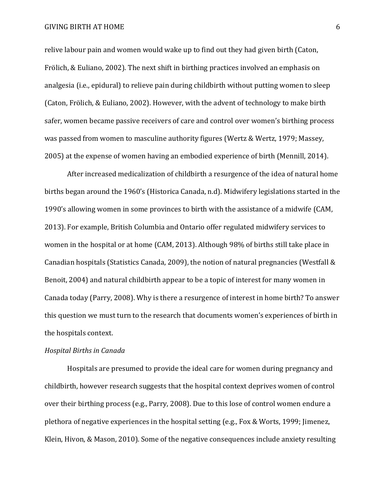relive labour pain and women would wake up to find out they had given birth (Caton, Frölich, & Euliano, 2002). The next shift in birthing practices involved an emphasis on analgesia (i.e., epidural) to relieve pain during childbirth without putting women to sleep (Caton, Frölich, & Euliano, 2002). However, with the advent of technology to make birth safer, women became passive receivers of care and control over women's birthing process was passed from women to masculine authority figures (Wertz & Wertz, 1979; Massey, 2005) at the expense of women having an embodied experience of birth (Mennill, 2014).

After increased medicalization of childbirth a resurgence of the idea of natural home births began around the 1960's (Historica Canada, n.d). Midwifery legislations started in the 1990's allowing women in some provinces to birth with the assistance of a midwife (CAM, 2013). For example, British Columbia and Ontario offer regulated midwifery services to women in the hospital or at home (CAM, 2013). Although 98% of births still take place in Canadian hospitals (Statistics Canada, 2009), the notion of natural pregnancies (Westfall & Benoit, 2004) and natural childbirth appear to be a topic of interest for many women in Canada today (Parry, 2008). Why is there a resurgence of interest in home birth? To answer this question we must turn to the research that documents women's experiences of birth in the hospitals context.

#### *Hospital Births in Canada*

Hospitals are presumed to provide the ideal care for women during pregnancy and childbirth, however research suggests that the hospital context deprives women of control over their birthing process (e.g., Parry, 2008). Due to this lose of control women endure a plethora of negative experiences in the hospital setting (e.g., Fox & Worts, 1999; Jimenez, Klein, Hivon, & Mason, 2010). Some of the negative consequences include anxiety resulting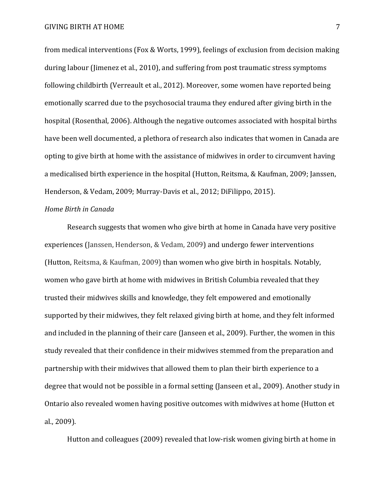from medical interventions (Fox & Worts, 1999), feelings of exclusion from decision making during labour (Jimenez et al., 2010), and suffering from post traumatic stress symptoms following childbirth (Verreault et al., 2012). Moreover, some women have reported being emotionally scarred due to the psychosocial trauma they endured after giving birth in the hospital (Rosenthal, 2006). Although the negative outcomes associated with hospital births have been well documented, a plethora of research also indicates that women in Canada are opting to give birth at home with the assistance of midwives in order to circumvent having a medicalised birth experience in the hospital (Hutton, Reitsma, & Kaufman, 2009; Janssen, Henderson, & Vedam, 2009; Murray-Davis et al., 2012; DiFilippo, 2015).

# *Home Birth in Canada*

Research suggests that women who give birth at home in Canada have very positive experiences (Janssen, Henderson, & Vedam, 2009) and undergo fewer interventions (Hutton, Reitsma, & Kaufman, 2009) than women who give birth in hospitals. Notably, women who gave birth at home with midwives in British Columbia revealed that they trusted their midwives skills and knowledge, they felt empowered and emotionally supported by their midwives, they felt relaxed giving birth at home, and they felt informed and included in the planning of their care (Janseen et al., 2009). Further, the women in this study revealed that their confidence in their midwives stemmed from the preparation and partnership with their midwives that allowed them to plan their birth experience to a degree that would not be possible in a formal setting (Janseen et al., 2009). Another study in Ontario also revealed women having positive outcomes with midwives at home (Hutton et al., 2009).

Hutton and colleagues (2009) revealed that low-risk women giving birth at home in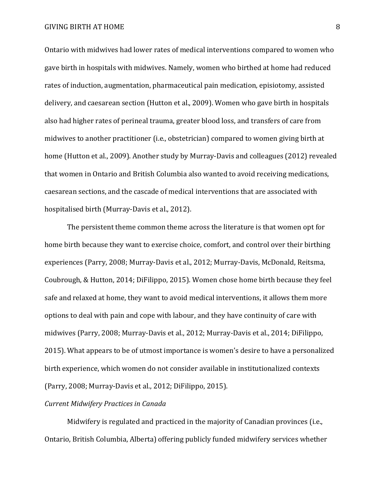Ontario with midwives had lower rates of medical interventions compared to women who gave birth in hospitals with midwives. Namely, women who birthed at home had reduced rates of induction, augmentation, pharmaceutical pain medication, episiotomy, assisted delivery, and caesarean section (Hutton et al., 2009). Women who gave birth in hospitals also had higher rates of perineal trauma, greater blood loss, and transfers of care from midwives to another practitioner (i.e., obstetrician) compared to women giving birth at home (Hutton et al., 2009). Another study by Murray-Davis and colleagues (2012) revealed that women in Ontario and British Columbia also wanted to avoid receiving medications, caesarean sections, and the cascade of medical interventions that are associated with hospitalised birth (Murray-Davis et al., 2012).

The persistent theme common theme across the literature is that women opt for home birth because they want to exercise choice, comfort, and control over their birthing experiences (Parry, 2008; Murray-Davis et al., 2012; Murray-Davis, McDonald, Reitsma, Coubrough, & Hutton, 2014; DiFilippo, 2015). Women chose home birth because they feel safe and relaxed at home, they want to avoid medical interventions, it allows them more options to deal with pain and cope with labour, and they have continuity of care with midwives (Parry, 2008; Murray-Davis et al., 2012; Murray-Davis et al., 2014; DiFilippo, 2015). What appears to be of utmost importance is women's desire to have a personalized birth experience, which women do not consider available in institutionalized contexts (Parry, 2008; Murray-Davis et al., 2012; DiFilippo, 2015).

### *Current Midwifery Practices in Canada*

Midwifery is regulated and practiced in the majority of Canadian provinces (i.e., Ontario, British Columbia, Alberta) offering publicly funded midwifery services whether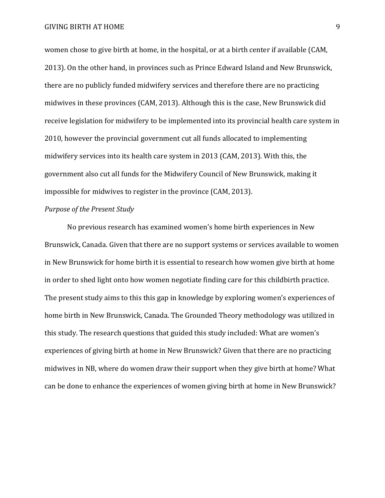GIVING BIRTH AT HOME 9

women chose to give birth at home, in the hospital, or at a birth center if available (CAM, 2013). On the other hand, in provinces such as Prince Edward Island and New Brunswick, there are no publicly funded midwifery services and therefore there are no practicing midwives in these provinces (CAM, 2013). Although this is the case, New Brunswick did receive legislation for midwifery to be implemented into its provincial health care system in 2010, however the provincial government cut all funds allocated to implementing midwifery services into its health care system in 2013 (CAM, 2013). With this, the government also cut all funds for the Midwifery Council of New Brunswick, making it impossible for midwives to register in the province (CAM, 2013).

## *Purpose of the Present Study*

No previous research has examined women's home birth experiences in New Brunswick, Canada. Given that there are no support systems or services available to women in New Brunswick for home birth it is essential to research how women give birth at home in order to shed light onto how women negotiate finding care for this childbirth practice. The present study aims to this this gap in knowledge by exploring women's experiences of home birth in New Brunswick, Canada. The Grounded Theory methodology was utilized in this study. The research questions that guided this study included: What are women's experiences of giving birth at home in New Brunswick? Given that there are no practicing midwives in NB, where do women draw their support when they give birth at home? What can be done to enhance the experiences of women giving birth at home in New Brunswick?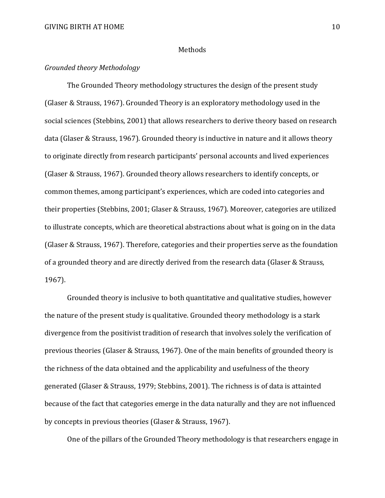### Methods

# *Grounded theory Methodology*

The Grounded Theory methodology structures the design of the present study (Glaser & Strauss, 1967). Grounded Theory is an exploratory methodology used in the social sciences (Stebbins, 2001) that allows researchers to derive theory based on research data (Glaser & Strauss, 1967). Grounded theory is inductive in nature and it allows theory to originate directly from research participants' personal accounts and lived experiences (Glaser & Strauss, 1967). Grounded theory allows researchers to identify concepts, or common themes, among participant's experiences, which are coded into categories and their properties (Stebbins, 2001; Glaser & Strauss, 1967). Moreover, categories are utilized to illustrate concepts, which are theoretical abstractions about what is going on in the data (Glaser & Strauss, 1967). Therefore, categories and their properties serve as the foundation of a grounded theory and are directly derived from the research data (Glaser & Strauss, 1967).

Grounded theory is inclusive to both quantitative and qualitative studies, however the nature of the present study is qualitative. Grounded theory methodology is a stark divergence from the positivist tradition of research that involves solely the verification of previous theories (Glaser & Strauss, 1967). One of the main benefits of grounded theory is the richness of the data obtained and the applicability and usefulness of the theory generated (Glaser & Strauss, 1979; Stebbins, 2001). The richness is of data is attainted because of the fact that categories emerge in the data naturally and they are not influenced by concepts in previous theories (Glaser & Strauss, 1967).

One of the pillars of the Grounded Theory methodology is that researchers engage in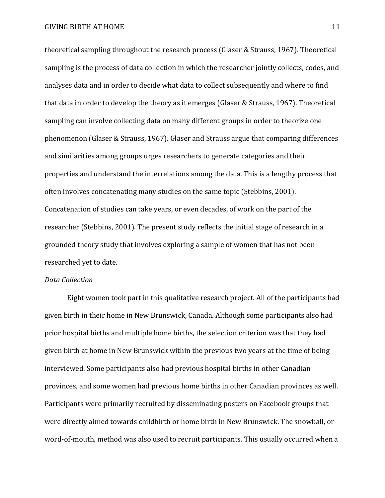theoretical sampling throughout the research process (Glaser & Strauss, 1967). Theoretical sampling is the process of data collection in which the researcher jointly collects, codes, and analyses data and in order to decide what data to collect subsequently and where to find that data in order to develop the theory as it emerges (Glaser & Strauss, 1967). Theoretical sampling can involve collecting data on many different groups in order to theorize one phenomenon (Glaser & Strauss, 1967). Glaser and Strauss argue that comparing differences and similarities among groups urges researchers to generate categories and their properties and understand the interrelations among the data. This is a lengthy process that often involves concatenating many studies on the same topic (Stebbins, 2001). Concatenation of studies can take years, or even decades, of work on the part of the researcher (Stebbins, 2001). The present study reflects the initial stage of research in a grounded theory study that involves exploring a sample of women that has not been researched yet to date.

# *Data Collection*

Eight women took part in this qualitative research project. All of the participants had given birth in their home in New Brunswick, Canada. Although some participants also had prior hospital births and multiple home births, the selection criterion was that they had given birth at home in New Brunswick within the previous two years at the time of being interviewed. Some participants also had previous hospital births in other Canadian provinces, and some women had previous home births in other Canadian provinces as well. Participants were primarily recruited by disseminating posters on Facebook groups that were directly aimed towards childbirth or home birth in New Brunswick. The snowball, or word-of-mouth, method was also used to recruit participants. This usually occurred when a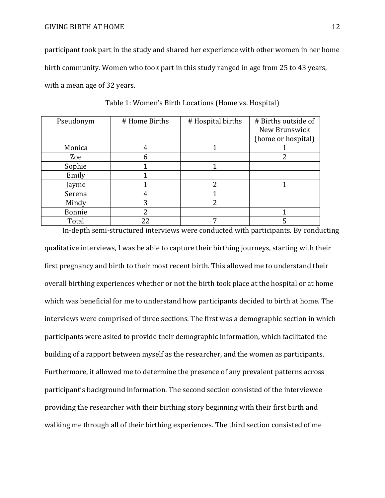participant took part in the study and shared her experience with other women in her home birth community. Women who took part in this study ranged in age from 25 to 43 years, with a mean age of 32 years.

| Pseudonym | # Home Births | # Hospital births | # Births outside of |
|-----------|---------------|-------------------|---------------------|
|           |               |                   | New Brunswick       |
|           |               |                   | (home or hospital)  |
| Monica    |               |                   |                     |
| Zoe       |               |                   |                     |
| Sophie    |               |                   |                     |
| Emily     |               |                   |                     |
| Jayme     |               | $\mathfrak{D}$    |                     |
| Serena    |               |                   |                     |
| Mindy     | 3             | $\overline{2}$    |                     |
| Bonnie    | າ             |                   |                     |
| Total     |               |                   |                     |

Table 1: Women's Birth Locations (Home vs. Hospital)

In-depth semi-structured interviews were conducted with participants. By conducting qualitative interviews, I was be able to capture their birthing journeys, starting with their first pregnancy and birth to their most recent birth. This allowed me to understand their overall birthing experiences whether or not the birth took place at the hospital or at home which was beneficial for me to understand how participants decided to birth at home. The interviews were comprised of three sections. The first was a demographic section in which participants were asked to provide their demographic information, which facilitated the building of a rapport between myself as the researcher, and the women as participants. Furthermore, it allowed me to determine the presence of any prevalent patterns across participant's background information. The second section consisted of the interviewee providing the researcher with their birthing story beginning with their first birth and walking me through all of their birthing experiences. The third section consisted of me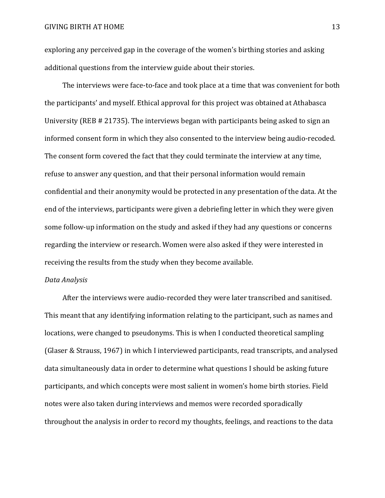#### GIVING BIRTH AT HOME 13

exploring any perceived gap in the coverage of the women's birthing stories and asking additional questions from the interview guide about their stories.

The interviews were face-to-face and took place at a time that was convenient for both the participants' and myself. Ethical approval for this project was obtained at Athabasca University (REB # 21735). The interviews began with participants being asked to sign an informed consent form in which they also consented to the interview being audio-recoded. The consent form covered the fact that they could terminate the interview at any time, refuse to answer any question, and that their personal information would remain confidential and their anonymity would be protected in any presentation of the data. At the end of the interviews, participants were given a debriefing letter in which they were given some follow-up information on the study and asked if they had any questions or concerns regarding the interview or research. Women were also asked if they were interested in receiving the results from the study when they become available.

### *Data Analysis*

After the interviews were audio-recorded they were later transcribed and sanitised. This meant that any identifying information relating to the participant, such as names and locations, were changed to pseudonyms. This is when I conducted theoretical sampling (Glaser & Strauss, 1967) in which I interviewed participants, read transcripts, and analysed data simultaneously data in order to determine what questions I should be asking future participants, and which concepts were most salient in women's home birth stories. Field notes were also taken during interviews and memos were recorded sporadically throughout the analysis in order to record my thoughts, feelings, and reactions to the data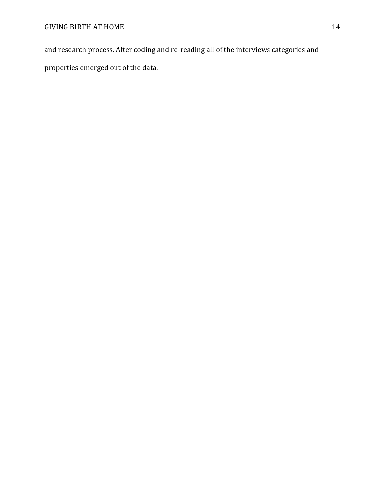and research process. After coding and re-reading all of the interviews categories and properties emerged out of the data.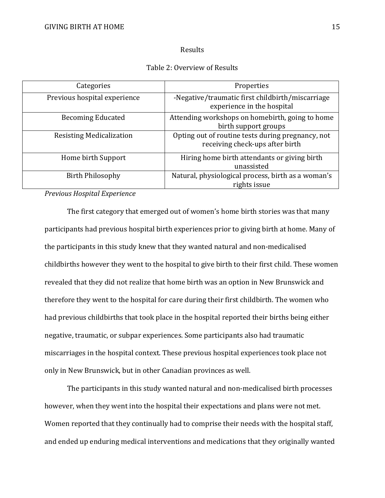### Results

## Table 2: Overview of Results

| Categories                      | Properties                                                                           |
|---------------------------------|--------------------------------------------------------------------------------------|
| Previous hospital experience    | -Negative/traumatic first childbirth/miscarriage<br>experience in the hospital       |
| <b>Becoming Educated</b>        | Attending workshops on homebirth, going to home<br>birth support groups              |
| <b>Resisting Medicalization</b> | Opting out of routine tests during pregnancy, not<br>receiving check-ups after birth |
| Home birth Support              | Hiring home birth attendants or giving birth<br>unassisted                           |
| <b>Birth Philosophy</b>         | Natural, physiological process, birth as a woman's<br>rights issue                   |

*Previous Hospital Experience*

The first category that emerged out of women's home birth stories was that many participants had previous hospital birth experiences prior to giving birth at home. Many of the participants in this study knew that they wanted natural and non-medicalised childbirths however they went to the hospital to give birth to their first child. These women revealed that they did not realize that home birth was an option in New Brunswick and therefore they went to the hospital for care during their first childbirth. The women who had previous childbirths that took place in the hospital reported their births being either negative, traumatic, or subpar experiences. Some participants also had traumatic miscarriages in the hospital context. These previous hospital experiences took place not only in New Brunswick, but in other Canadian provinces as well.

The participants in this study wanted natural and non-medicalised birth processes however, when they went into the hospital their expectations and plans were not met. Women reported that they continually had to comprise their needs with the hospital staff, and ended up enduring medical interventions and medications that they originally wanted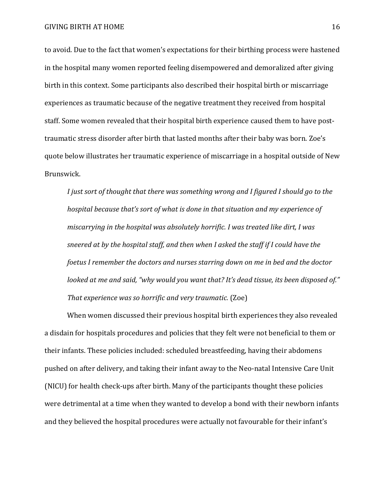to avoid. Due to the fact that women's expectations for their birthing process were hastened in the hospital many women reported feeling disempowered and demoralized after giving birth in this context. Some participants also described their hospital birth or miscarriage experiences as traumatic because of the negative treatment they received from hospital staff. Some women revealed that their hospital birth experience caused them to have posttraumatic stress disorder after birth that lasted months after their baby was born. Zoe's quote below illustrates her traumatic experience of miscarriage in a hospital outside of New Brunswick.

*I just sort of thought that there was something wrong and I figured I should go to the hospital because that's sort of what is done in that situation and my experience of miscarrying in the hospital was absolutely horrific. I was treated like dirt, I was sneered at by the hospital staff, and then when I asked the staff if I could have the foetus I remember the doctors and nurses starring down on me in bed and the doctor looked at me and said, "why would you want that? It's dead tissue, its been disposed of." That experience was so horrific and very traumatic.* (Zoe)

When women discussed their previous hospital birth experiences they also revealed a disdain for hospitals procedures and policies that they felt were not beneficial to them or their infants. These policies included: scheduled breastfeeding, having their abdomens pushed on after delivery, and taking their infant away to the Neo-natal Intensive Care Unit (NICU) for health check-ups after birth. Many of the participants thought these policies were detrimental at a time when they wanted to develop a bond with their newborn infants and they believed the hospital procedures were actually not favourable for their infant's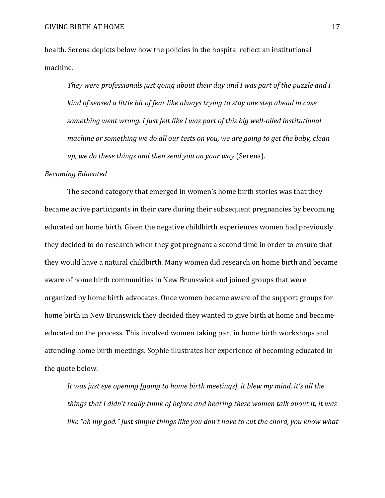health. Serena depicts below how the policies in the hospital reflect an institutional machine.

*They were professionals just going about their day and I was part of the puzzle and I kind of sensed a little bit of fear like always trying to stay one step ahead in case something went wrong. I just felt like I was part of this big well-oiled institutional machine or something we do all our tests on you, we are going to get the baby, clean up, we do these things and then send you on your way* (Serena).

### *Becoming Educated*

The second category that emerged in women's home birth stories was that they became active participants in their care during their subsequent pregnancies by becoming educated on home birth. Given the negative childbirth experiences women had previously they decided to do research when they got pregnant a second time in order to ensure that they would have a natural childbirth. Many women did research on home birth and became aware of home birth communities in New Brunswick and joined groups that were organized by home birth advocates. Once women became aware of the support groups for home birth in New Brunswick they decided they wanted to give birth at home and became educated on the process. This involved women taking part in home birth workshops and attending home birth meetings. Sophie illustrates her experience of becoming educated in the quote below.

*It was just eye opening [going to home birth meetings], it blew my mind, it's all the things that I didn't really think of before and hearing these women talk about it, it was like "oh my god." Just simple things like you don't have to cut the chord, you know what*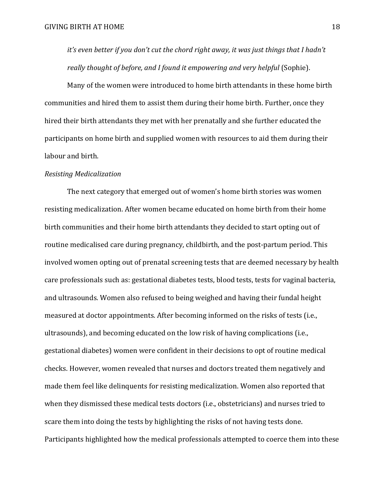*it's even better if you don't cut the chord right away, it was just things that I hadn't really thought of before, and I found it empowering and very helpful* (Sophie).

Many of the women were introduced to home birth attendants in these home birth communities and hired them to assist them during their home birth. Further, once they hired their birth attendants they met with her prenatally and she further educated the participants on home birth and supplied women with resources to aid them during their labour and birth.

#### *Resisting Medicalization*

The next category that emerged out of women's home birth stories was women resisting medicalization. After women became educated on home birth from their home birth communities and their home birth attendants they decided to start opting out of routine medicalised care during pregnancy, childbirth, and the post-partum period. This involved women opting out of prenatal screening tests that are deemed necessary by health care professionals such as: gestational diabetes tests, blood tests, tests for vaginal bacteria, and ultrasounds. Women also refused to being weighed and having their fundal height measured at doctor appointments. After becoming informed on the risks of tests (i.e., ultrasounds), and becoming educated on the low risk of having complications (i.e., gestational diabetes) women were confident in their decisions to opt of routine medical checks. However, women revealed that nurses and doctors treated them negatively and made them feel like delinquents for resisting medicalization. Women also reported that when they dismissed these medical tests doctors (i.e., obstetricians) and nurses tried to scare them into doing the tests by highlighting the risks of not having tests done. Participants highlighted how the medical professionals attempted to coerce them into these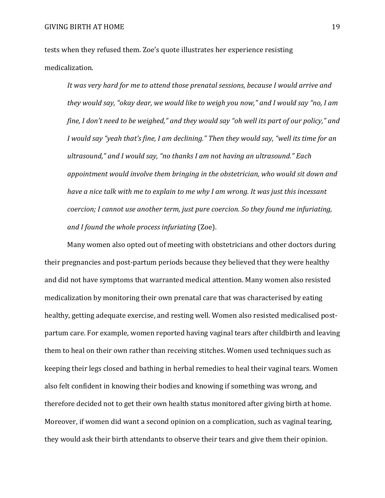tests when they refused them. Zoe's quote illustrates her experience resisting medicalization.

*It was very hard for me to attend those prenatal sessions, because I would arrive and they would say, "okay dear, we would like to weigh you now," and I would say "no, I am fine, I don't need to be weighed," and they would say "oh well its part of our policy," and I would say "yeah that's fine, I am declining." Then they would say, "well its time for an ultrasound," and I would say, "no thanks I am not having an ultrasound." Each appointment would involve them bringing in the obstetrician, who would sit down and have a nice talk with me to explain to me why I am wrong. It was just this incessant coercion; I cannot use another term, just pure coercion. So they found me infuriating, and I found the whole process infuriating* (Zoe).

Many women also opted out of meeting with obstetricians and other doctors during their pregnancies and post-partum periods because they believed that they were healthy and did not have symptoms that warranted medical attention. Many women also resisted medicalization by monitoring their own prenatal care that was characterised by eating healthy, getting adequate exercise, and resting well. Women also resisted medicalised postpartum care. For example, women reported having vaginal tears after childbirth and leaving them to heal on their own rather than receiving stitches. Women used techniques such as keeping their legs closed and bathing in herbal remedies to heal their vaginal tears. Women also felt confident in knowing their bodies and knowing if something was wrong, and therefore decided not to get their own health status monitored after giving birth at home. Moreover, if women did want a second opinion on a complication, such as vaginal tearing, they would ask their birth attendants to observe their tears and give them their opinion.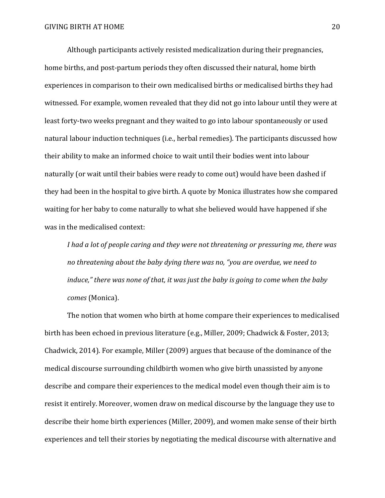Although participants actively resisted medicalization during their pregnancies, home births, and post-partum periods they often discussed their natural, home birth experiences in comparison to their own medicalised births or medicalised births they had witnessed. For example, women revealed that they did not go into labour until they were at least forty-two weeks pregnant and they waited to go into labour spontaneously or used natural labour induction techniques (i.e., herbal remedies). The participants discussed how their ability to make an informed choice to wait until their bodies went into labour naturally (or wait until their babies were ready to come out) would have been dashed if they had been in the hospital to give birth. A quote by Monica illustrates how she compared waiting for her baby to come naturally to what she believed would have happened if she was in the medicalised context:

*I had a lot of people caring and they were not threatening or pressuring me, there was no threatening about the baby dying there was no, "you are overdue, we need to induce," there was none of that, it was just the baby is going to come when the baby comes* (Monica).

The notion that women who birth at home compare their experiences to medicalised birth has been echoed in previous literature (e.g., Miller, 2009; Chadwick & Foster, 2013; Chadwick, 2014). For example, Miller (2009) argues that because of the dominance of the medical discourse surrounding childbirth women who give birth unassisted by anyone describe and compare their experiences to the medical model even though their aim is to resist it entirely. Moreover, women draw on medical discourse by the language they use to describe their home birth experiences (Miller, 2009), and women make sense of their birth experiences and tell their stories by negotiating the medical discourse with alternative and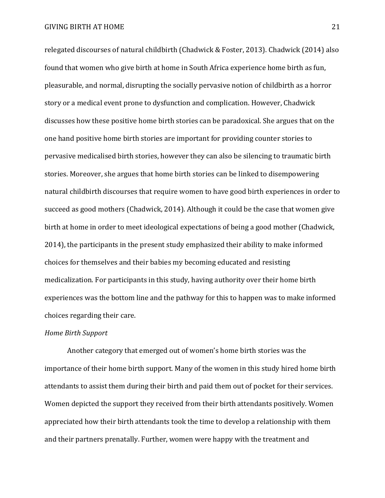relegated discourses of natural childbirth (Chadwick & Foster, 2013). Chadwick (2014) also found that women who give birth at home in South Africa experience home birth as fun, pleasurable, and normal, disrupting the socially pervasive notion of childbirth as a horror story or a medical event prone to dysfunction and complication. However, Chadwick discusses how these positive home birth stories can be paradoxical. She argues that on the one hand positive home birth stories are important for providing counter stories to pervasive medicalised birth stories, however they can also be silencing to traumatic birth stories. Moreover, she argues that home birth stories can be linked to disempowering natural childbirth discourses that require women to have good birth experiences in order to succeed as good mothers (Chadwick, 2014). Although it could be the case that women give birth at home in order to meet ideological expectations of being a good mother (Chadwick, 2014), the participants in the present study emphasized their ability to make informed choices for themselves and their babies my becoming educated and resisting medicalization. For participants in this study, having authority over their home birth experiences was the bottom line and the pathway for this to happen was to make informed choices regarding their care.

# *Home Birth Support*

Another category that emerged out of women's home birth stories was the importance of their home birth support. Many of the women in this study hired home birth attendants to assist them during their birth and paid them out of pocket for their services. Women depicted the support they received from their birth attendants positively. Women appreciated how their birth attendants took the time to develop a relationship with them and their partners prenatally. Further, women were happy with the treatment and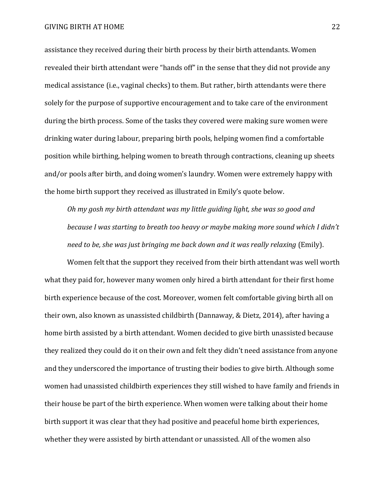assistance they received during their birth process by their birth attendants. Women revealed their birth attendant were "hands off" in the sense that they did not provide any medical assistance (i.e., vaginal checks) to them. But rather, birth attendants were there solely for the purpose of supportive encouragement and to take care of the environment during the birth process. Some of the tasks they covered were making sure women were drinking water during labour, preparing birth pools, helping women find a comfortable position while birthing, helping women to breath through contractions, cleaning up sheets and/or pools after birth, and doing women's laundry. Women were extremely happy with the home birth support they received as illustrated in Emily's quote below.

*Oh my gosh my birth attendant was my little guiding light, she was so good and because I was starting to breath too heavy or maybe making more sound which I didn't need to be, she was just bringing me back down and it was really relaxing* (Emily).

Women felt that the support they received from their birth attendant was well worth what they paid for, however many women only hired a birth attendant for their first home birth experience because of the cost. Moreover, women felt comfortable giving birth all on their own, also known as unassisted childbirth (Dannaway, & Dietz, 2014), after having a home birth assisted by a birth attendant. Women decided to give birth unassisted because they realized they could do it on their own and felt they didn't need assistance from anyone and they underscored the importance of trusting their bodies to give birth. Although some women had unassisted childbirth experiences they still wished to have family and friends in their house be part of the birth experience. When women were talking about their home birth support it was clear that they had positive and peaceful home birth experiences, whether they were assisted by birth attendant or unassisted. All of the women also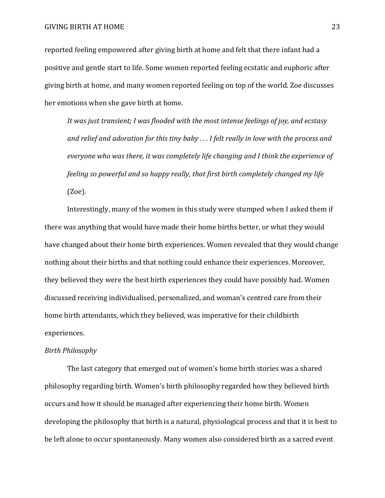reported feeling empowered after giving birth at home and felt that there infant had a positive and gentle start to life. Some women reported feeling ecstatic and euphoric after giving birth at home, and many women reported feeling on top of the world. Zoe discusses her emotions when she gave birth at home.

*It was just transient; I was flooded with the most intense feelings of joy, and ecstasy and relief and adoration for this tiny baby . . . I felt really in love with the process and everyone who was there, it was completely life changing and I think the experience of feeling so powerful and so happy really, that first birth completely changed my life* (Zoe).

Interestingly, many of the women in this study were stumped when I asked them if there was anything that would have made their home births better, or what they would have changed about their home birth experiences. Women revealed that they would change nothing about their births and that nothing could enhance their experiences. Moreover, they believed they were the best birth experiences they could have possibly had. Women discussed receiving individualised, personalized, and woman's centred care from their home birth attendants, which they believed, was imperative for their childbirth experiences.

## *Birth Philosophy*

The last category that emerged out of women's home birth stories was a shared philosophy regarding birth. Women's birth philosophy regarded how they believed birth occurs and how it should be managed after experiencing their home birth. Women developing the philosophy that birth is a natural, physiological process and that it is best to be left alone to occur spontaneously. Many women also considered birth as a sacred event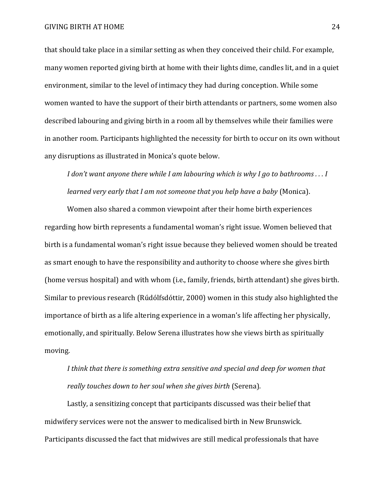that should take place in a similar setting as when they conceived their child. For example, many women reported giving birth at home with their lights dime, candles lit, and in a quiet environment, similar to the level of intimacy they had during conception. While some women wanted to have the support of their birth attendants or partners, some women also described labouring and giving birth in a room all by themselves while their families were in another room. Participants highlighted the necessity for birth to occur on its own without any disruptions as illustrated in Monica's quote below.

*I don't want anyone there while I am labouring which is why I go to bathrooms . . . I learned very early that I am not someone that you help have a baby* (Monica).

Women also shared a common viewpoint after their home birth experiences regarding how birth represents a fundamental woman's right issue. Women believed that birth is a fundamental woman's right issue because they believed women should be treated as smart enough to have the responsibility and authority to choose where she gives birth (home versus hospital) and with whom (i.e., family, friends, birth attendant) she gives birth. Similar to previous research (Rúdólfsdóttir, 2000) women in this study also highlighted the importance of birth as a life altering experience in a woman's life affecting her physically, emotionally, and spiritually. Below Serena illustrates how she views birth as spiritually moving.

*I think that there is something extra sensitive and special and deep for women that really touches down to her soul when she gives birth* (Serena)*.*

Lastly, a sensitizing concept that participants discussed was their belief that midwifery services were not the answer to medicalised birth in New Brunswick. Participants discussed the fact that midwives are still medical professionals that have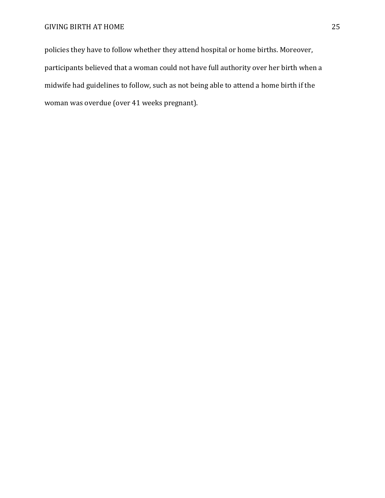policies they have to follow whether they attend hospital or home births. Moreover, participants believed that a woman could not have full authority over her birth when a midwife had guidelines to follow, such as not being able to attend a home birth if the woman was overdue (over 41 weeks pregnant).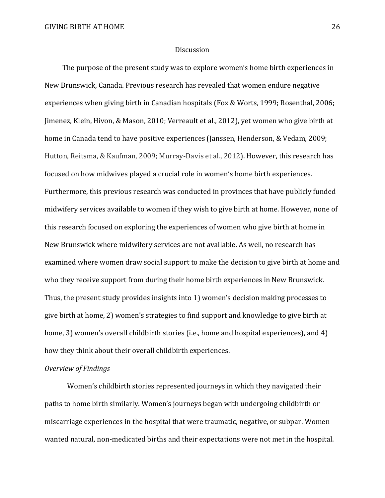#### Discussion

The purpose of the present study was to explore women's home birth experiences in New Brunswick, Canada. Previous research has revealed that women endure negative experiences when giving birth in Canadian hospitals (Fox & Worts, 1999; Rosenthal, 2006; Jimenez, Klein, Hivon, & Mason, 2010; Verreault et al., 2012), yet women who give birth at home in Canada tend to have positive experiences (Janssen, Henderson, & Vedam, 2009; Hutton, Reitsma, & Kaufman, 2009; Murray-Davis et al., 2012). However, this research has focused on how midwives played a crucial role in women's home birth experiences. Furthermore, this previous research was conducted in provinces that have publicly funded midwifery services available to women if they wish to give birth at home. However, none of this research focused on exploring the experiences of women who give birth at home in New Brunswick where midwifery services are not available. As well, no research has examined where women draw social support to make the decision to give birth at home and who they receive support from during their home birth experiences in New Brunswick. Thus, the present study provides insights into 1) women's decision making processes to give birth at home, 2) women's strategies to find support and knowledge to give birth at home, 3) women's overall childbirth stories (i.e., home and hospital experiences), and 4) how they think about their overall childbirth experiences.

## *Overview of Findings*

Women's childbirth stories represented journeys in which they navigated their paths to home birth similarly. Women's journeys began with undergoing childbirth or miscarriage experiences in the hospital that were traumatic, negative, or subpar. Women wanted natural, non-medicated births and their expectations were not met in the hospital.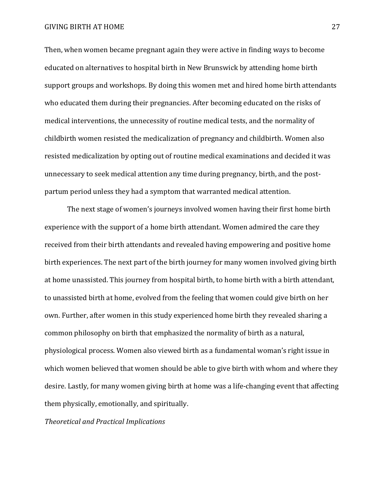#### GIVING BIRTH AT HOME 27

Then, when women became pregnant again they were active in finding ways to become educated on alternatives to hospital birth in New Brunswick by attending home birth support groups and workshops. By doing this women met and hired home birth attendants who educated them during their pregnancies. After becoming educated on the risks of medical interventions, the unnecessity of routine medical tests, and the normality of childbirth women resisted the medicalization of pregnancy and childbirth. Women also resisted medicalization by opting out of routine medical examinations and decided it was unnecessary to seek medical attention any time during pregnancy, birth, and the postpartum period unless they had a symptom that warranted medical attention.

The next stage of women's journeys involved women having their first home birth experience with the support of a home birth attendant. Women admired the care they received from their birth attendants and revealed having empowering and positive home birth experiences. The next part of the birth journey for many women involved giving birth at home unassisted. This journey from hospital birth, to home birth with a birth attendant, to unassisted birth at home, evolved from the feeling that women could give birth on her own. Further, after women in this study experienced home birth they revealed sharing a common philosophy on birth that emphasized the normality of birth as a natural, physiological process. Women also viewed birth as a fundamental woman's right issue in which women believed that women should be able to give birth with whom and where they desire. Lastly, for many women giving birth at home was a life-changing event that affecting them physically, emotionally, and spiritually.

*Theoretical and Practical Implications*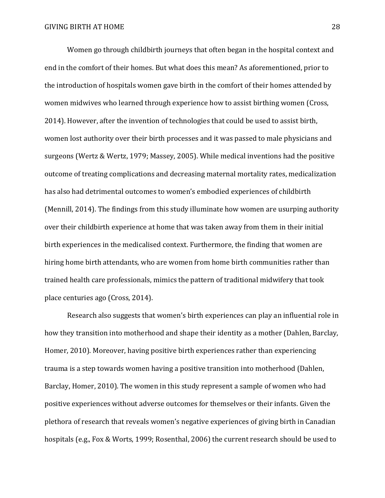Women go through childbirth journeys that often began in the hospital context and end in the comfort of their homes. But what does this mean? As aforementioned, prior to the introduction of hospitals women gave birth in the comfort of their homes attended by women midwives who learned through experience how to assist birthing women (Cross, 2014). However, after the invention of technologies that could be used to assist birth, women lost authority over their birth processes and it was passed to male physicians and surgeons (Wertz & Wertz, 1979; Massey, 2005). While medical inventions had the positive outcome of treating complications and decreasing maternal mortality rates, medicalization has also had detrimental outcomes to women's embodied experiences of childbirth (Mennill, 2014). The findings from this study illuminate how women are usurping authority over their childbirth experience at home that was taken away from them in their initial birth experiences in the medicalised context. Furthermore, the finding that women are hiring home birth attendants, who are women from home birth communities rather than trained health care professionals, mimics the pattern of traditional midwifery that took place centuries ago (Cross, 2014).

Research also suggests that women's birth experiences can play an influential role in how they transition into motherhood and shape their identity as a mother (Dahlen, Barclay, Homer, 2010). Moreover, having positive birth experiences rather than experiencing trauma is a step towards women having a positive transition into motherhood (Dahlen, Barclay, Homer, 2010). The women in this study represent a sample of women who had positive experiences without adverse outcomes for themselves or their infants. Given the plethora of research that reveals women's negative experiences of giving birth in Canadian hospitals (e.g., Fox & Worts, 1999; Rosenthal, 2006) the current research should be used to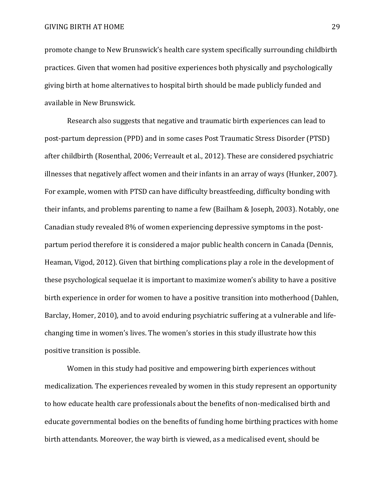promote change to New Brunswick's health care system specifically surrounding childbirth practices. Given that women had positive experiences both physically and psychologically giving birth at home alternatives to hospital birth should be made publicly funded and available in New Brunswick.

Research also suggests that negative and traumatic birth experiences can lead to post-partum depression (PPD) and in some cases Post Traumatic Stress Disorder (PTSD) after childbirth (Rosenthal, 2006; Verreault et al., 2012). These are considered psychiatric illnesses that negatively affect women and their infants in an array of ways (Hunker, 2007). For example, women with PTSD can have difficulty breastfeeding, difficulty bonding with their infants, and problems parenting to name a few (Bailham & Joseph, 2003). Notably, one Canadian study revealed 8% of women experiencing depressive symptoms in the postpartum period therefore it is considered a major public health concern in Canada (Dennis, Heaman, Vigod, 2012). Given that birthing complications play a role in the development of these psychological sequelae it is important to maximize women's ability to have a positive birth experience in order for women to have a positive transition into motherhood (Dahlen, Barclay, Homer, 2010), and to avoid enduring psychiatric suffering at a vulnerable and lifechanging time in women's lives. The women's stories in this study illustrate how this positive transition is possible.

Women in this study had positive and empowering birth experiences without medicalization. The experiences revealed by women in this study represent an opportunity to how educate health care professionals about the benefits of non-medicalised birth and educate governmental bodies on the benefits of funding home birthing practices with home birth attendants. Moreover, the way birth is viewed, as a medicalised event, should be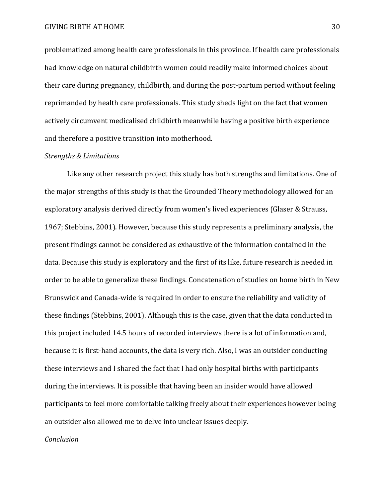problematized among health care professionals in this province. If health care professionals had knowledge on natural childbirth women could readily make informed choices about their care during pregnancy, childbirth, and during the post-partum period without feeling reprimanded by health care professionals. This study sheds light on the fact that women actively circumvent medicalised childbirth meanwhile having a positive birth experience and therefore a positive transition into motherhood.

#### *Strengths & Limitations*

Like any other research project this study has both strengths and limitations. One of the major strengths of this study is that the Grounded Theory methodology allowed for an exploratory analysis derived directly from women's lived experiences (Glaser & Strauss, 1967; Stebbins, 2001). However, because this study represents a preliminary analysis, the present findings cannot be considered as exhaustive of the information contained in the data. Because this study is exploratory and the first of its like, future research is needed in order to be able to generalize these findings. Concatenation of studies on home birth in New Brunswick and Canada-wide is required in order to ensure the reliability and validity of these findings (Stebbins, 2001). Although this is the case, given that the data conducted in this project included 14.5 hours of recorded interviews there is a lot of information and, because it is first-hand accounts, the data is very rich. Also, I was an outsider conducting these interviews and I shared the fact that I had only hospital births with participants during the interviews. It is possible that having been an insider would have allowed participants to feel more comfortable talking freely about their experiences however being an outsider also allowed me to delve into unclear issues deeply.

## *Conclusion*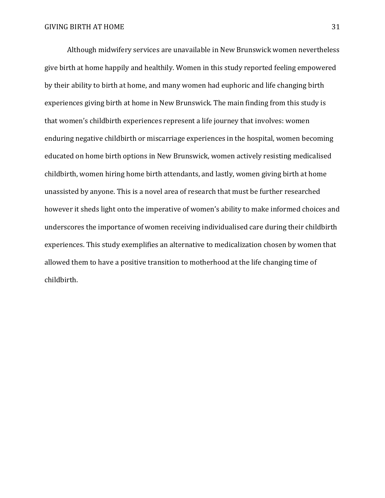Although midwifery services are unavailable in New Brunswick women nevertheless give birth at home happily and healthily. Women in this study reported feeling empowered by their ability to birth at home, and many women had euphoric and life changing birth experiences giving birth at home in New Brunswick. The main finding from this study is that women's childbirth experiences represent a life journey that involves: women enduring negative childbirth or miscarriage experiences in the hospital, women becoming educated on home birth options in New Brunswick, women actively resisting medicalised childbirth, women hiring home birth attendants, and lastly, women giving birth at home unassisted by anyone. This is a novel area of research that must be further researched however it sheds light onto the imperative of women's ability to make informed choices and underscores the importance of women receiving individualised care during their childbirth experiences. This study exemplifies an alternative to medicalization chosen by women that allowed them to have a positive transition to motherhood at the life changing time of childbirth.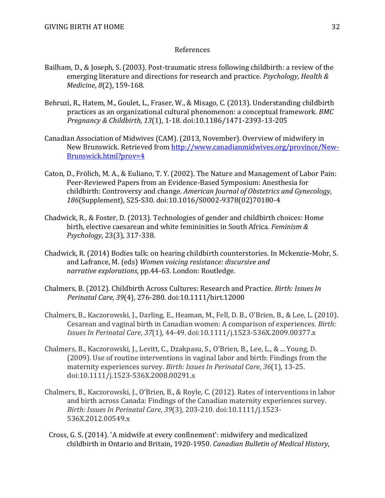## References

- Bailham, D., & Joseph, S. (2003). Post-traumatic stress following childbirth: a review of the emerging literature and directions for research and practice. *Psychology, Health & Medicine*, *8*(2), 159-168.
- Behruzi, R., Hatem, M., Goulet, L., Fraser, W., & Misago, C. (2013). Understanding childbirth practices as an organizational cultural phenomenon: a conceptual framework. *BMC Pregnancy & Childbirth*, *13*(1), 1-18. doi:10.1186/1471-2393-13-205
- Canadian Association of Midwives (CAM). (2013, November). Overview of midwifery in New Brunswick. Retrieved from [http://www.canadianmidwives.org/province/New-](http://www.canadianmidwives.org/province/New-Brunswick.html?prov=4)[Brunswick.html?prov=4](http://www.canadianmidwives.org/province/New-Brunswick.html?prov=4)
- Caton, D., Frölich, M. A., & Euliano, T. Y. (2002). The Nature and Management of Labor Pain: Peer-Reviewed Papers from an Evidence-Based Symposium: Anesthesia for childbirth: Controversy and change. *American Journal of Obstetrics and Gynecology*, *186*(Supplement), S25-S30. doi:10.1016/S0002-9378(02)70180-4
- Chadwick, R., & Foster, D. (2013). Technologies of gender and childbirth choices: Home birth, elective caesarean and white femininities in South Africa. *Feminism & Psychology,* 23(3), 317-338.
- Chadwick, R. (2014) Bodies talk: on hearing childbirth counterstories. In Mckenzie-Mohr, S. and Lafrance, M. (eds) *Women voicing resistance: discursive and narrative explorations*, pp.44-63. London: Routledge.
- Chalmers, B. (2012). Childbirth Across Cultures: Research and Practice. *Birth: Issues In Perinatal Care*, *39*(4), 276-280. doi:10.1111/birt.12000
- Chalmers, B., Kaczorowski, J., Darling, E., Heaman, M., Fell, D. B., O'Brien, B., & Lee, L. (2010). Cesarean and vaginal birth in Canadian women: A comparison of experiences. *Birth: Issues In Perinatal Care*, *37*(1), 44-49. doi:10.1111/j.1523-536X.2009.00377.x
- Chalmers, B., Kaczorowski, J., Levitt, C., Dzakpasu, S., O'Brien, B., Lee, L., & ... Young, D. (2009). Use of routine interventions in vaginal labor and birth: Findings from the maternity experiences survey. *Birth: Issues In Perinatal Care*, *36*(1), 13-25. doi:10.1111/j.1523-536X.2008.00291.x
- Chalmers, B., Kaczorowski, J., O'Brien, B., & Royle, C. (2012). Rates of interventions in labor and birth across Canada: Findings of the Canadian maternity experiences survey. *Birth: Issues In Perinatal Care*, *39*(3), 203-210. doi:10.1111/j.1523- 536X.2012.00549.x
- Cross, G. S. (2014). 'A midwife at every confinement': midwifery and medicalized childbirth in Ontario and Britain, 1920-1950. *Canadian Bulletin of Medical History*,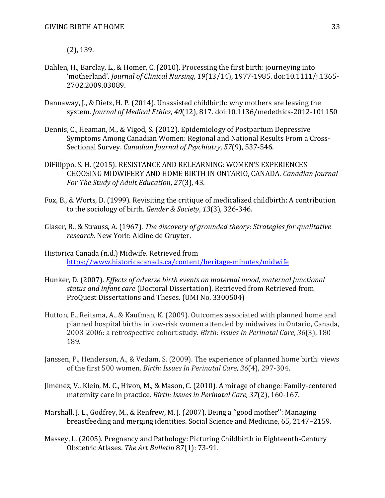(2), 139.

- Dahlen, H., Barclay, L., & Homer, C. (2010). Processing the first birth: journeying into 'motherland'. *Journal of Clinical Nursing*, *19*(13/14), 1977-1985. doi:10.1111/j.1365- 2702.2009.03089.
- Dannaway, J., & Dietz, H. P. (2014). Unassisted childbirth: why mothers are leaving the system. *Journal of Medical Ethics*, *40*(12), 817. doi:10.1136/medethics-2012-101150
- Dennis, C., Heaman, M., & Vigod, S. (2012). Epidemiology of Postpartum Depressive Symptoms Among Canadian Women: Regional and National Results From a Cross-Sectional Survey. *Canadian Journal of Psychiatry*, *57*(9), 537-546.
- DiFilippo, S. H. (2015). RESISTANCE AND RELEARNING: WOMEN'S EXPERIENCES CHOOSING MIDWIFERY AND HOME BIRTH IN ONTARIO, CANADA. *Canadian Journal For The Study of Adult Education*, *27*(3), 43.
- Fox, B., & Worts, D. (1999). Revisiting the critique of medicalized childbirth: A contribution to the sociology of birth. *Gender & Society*, *13*(3), 326-346.
- Glaser, B., & Strauss, A. (1967). *The discovery of grounded theory: Strategies for qualitative research*. New York: Aldine de Gruyter.
- Historica Canada (n.d.) Midwife. Retrieved from <https://www.historicacanada.ca/content/heritage-minutes/midwife>
- Hunker, D. (2007). *Effects of adverse birth events on maternal mood, maternal functional status and infant care* (Doctoral Dissertation). Retrieved from Retrieved from ProQuest Dissertations and Theses. (UMI No. 3300504)
- Hutton, E., Reitsma, A., & Kaufman, K. (2009). Outcomes associated with planned home and planned hospital births in low-risk women attended by midwives in Ontario, Canada, 2003-2006: a retrospective cohort study. *Birth: Issues In Perinatal Care*, *36*(3), 180- 189.
- Janssen, P., Henderson, A., & Vedam, S. (2009). The experience of planned home birth: views of the first 500 women. *Birth: Issues In Perinatal Care*, *36*(4), 297-304.
- Jimenez, V., Klein, M. C., Hivon, M., & Mason, C. (2010). A mirage of change: Family-centered maternity care in practice. *Birth: Issues in Perinatal Care, 37*(2), 160-167.
- Marshall, J. L., Godfrey, M., & Renfrew, M. J. (2007). Being a ''good mother'': Managing breastfeeding and merging identities. Social Science and Medicine, 65, 2147–2159.
- Massey, L. (2005). Pregnancy and Pathology: Picturing Childbirth in Eighteenth-Century Obstetric Atlases. *The Art Bulletin* 87(1): 73-91.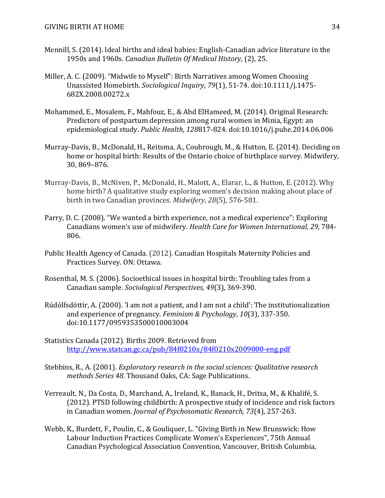- Mennill, S. (2014). Ideal births and ideal babies: English-Canadian advice literature in the 1950s and 1960s. *Canadian Bulletin Of Medical History*, (2), 25.
- Miller, A. C. (2009). "Midwife to Myself": Birth Narratives among Women Choosing Unassisted Homebirth. *Sociological Inquiry*, *79*(1), 51-74. doi:10.1111/j.1475- 682X.2008.00272.x
- Mohammed, E., Mosalem, F., Mahfouz, E., & Abd ElHameed, M. (2014). Original Research: Predictors of postpartum depression among rural women in Minia, Egypt: an epidemiological study. *Public Health*, *128*817-824. doi:10.1016/j.puhe.2014.06.006
- Murray-Davis, B., McDonald, H., Reitsma, A., Coubrough, M., & Hutton, E. (2014). Deciding on home or hospital birth: Results of the Ontario choice of birthplace survey. Midwifery, 30, 869–876.
- Murray-Davis, B., McNiven, P., McDonald, H., Malott, A., Elarar, L., & Hutton, E. (2012). Why home birth? A qualitative study exploring women's decision making about place of birth in two Canadian provinces. *Midwifery*, *28*(5), 576-581.
- Parry, D. C. (2008). "We wanted a birth experience, not a medical experience": Exploring Canadians women's use of midwifery. *Health Care for Women International, 29,* 784- 806.
- Public Health Agency of Canada. (2012). Canadian Hospitals Maternity Policies and Practices Survey. ON: Ottawa.
- Rosenthal, M. S. (2006). Socioethical issues in hospital birth: Troubling tales from a Canadian sample. *Sociological Perspectives, 49*(3), 369-390.
- Rúdólfsdóttir, A. (2000). 'I am not a patient, and I am not a child': The institutionalization and experience of pregnancy. *Feminism & Psychology*, *10*(3), 337-350. doi:10.1177/0959353500010003004
- Statistics Canada (2012). Births 2009. Retrieved from <http://www.statcan.gc.ca/pub/84f0210x/84f0210x2009000-eng.pdf>
- Stebbins, R., A. (2001). *Exploratory research in the social sciences: Qualitative research methods Series 48.* Thousand Oaks, CA: Sage Publications.
- Verreault, N., Da Costa, D., Marchand, A., Ireland, K., Banack, H., Dritsa, M., & Khalifé, S. (2012). PTSD following childbirth: A prospective study of incidence and risk factors in Canadian women. *Journal of Psychosomatic Research, 73*(4), 257-263.
- Webb, K., Burdett, F., Poulin, C., & Gouliquer, L. "Giving Birth in New Brunswick: How Labour Induction Practices Complicate Women's Experiences", 75th Annual Canadian Psychological Association Convention, Vancouver, British Columbia,